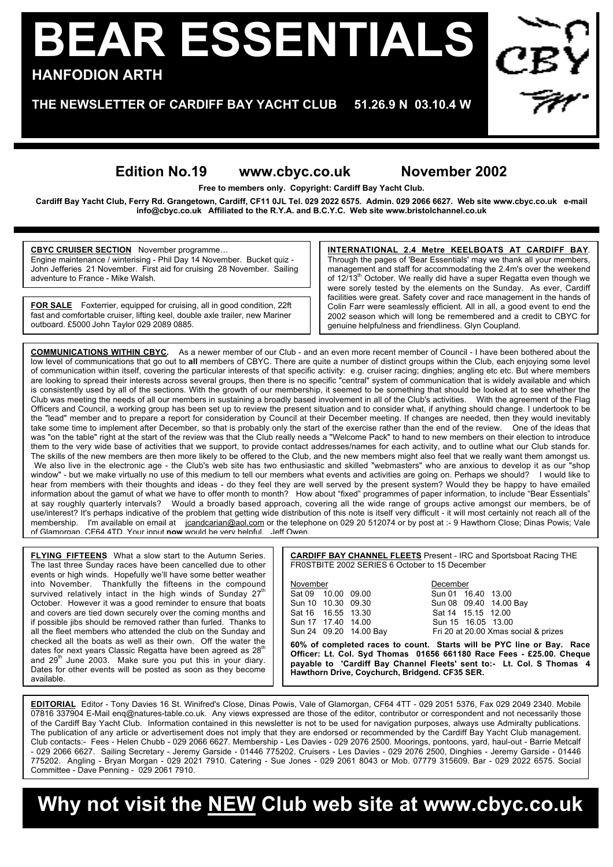## **BEAR ESSENTIALS HANFODION ARTH**

**THE NEWSLETTER OF CARDIFF BAY YACHT CLUB 51.26.9 N 03.10.4 W**

## **Edition No.19 www.cbyc.co.uk November 2002**

**Free to members only. Copyright: Cardiff Bay Yacht Club.**

**Cardiff Bay Yacht Club, Ferry Rd. Grangetown, Cardiff, CF11 0JL Tel. 029 2022 6575. Admin. 029 2066 6627. Web site www.cbyc.co.uk e-mail info@cbyc.co.uk Affiliated to the R.Y.A. and B.C.Y.C. Web site www.bristolchannel.co.uk**

**CBYC CRUISER SECTION** November programme… Engine maintenance / winterising - Phil Day 14 November. Bucket quiz - John Jefferies 21 November. First aid for cruising 28 November. Sailing adventure to France - Mike Walsh.

**FOR SALE** Foxterrier, equipped for cruising, all in good condition, 22ft fast and comfortable cruiser, lifting keel, double axle trailer, new Mariner outboard. £5000 John Taylor 029 2089 0885.

**INTERNATIONAL 2.4 Metre KEELBOATS AT CARDIFF BAY**. Through the pages of 'Bear Essentials' may we thank all your members, management and staff for accommodating the 2.4m's over the weekend of  $12/13<sup>th</sup>$  October. We really did have a super Regatta even though we were sorely tested by the elements on the Sunday. As ever, Cardiff facilities were great. Safety cover and race management in the hands of Colin Farr were seamlessly efficient. All in all, a good event to end the 2002 season which will long be remembered and a credit to CBYC for genuine helpfulness and friendliness. Glyn Coupland.

**COMMUNICATIONS WITHIN CBYC.** As a newer member of our Club - and an even more recent member of Council - I have been bothered about the low level of communications that go out to **all** members of CBYC. There are quite a number of distinct groups within the Club, each enjoying some level of communication within itself, covering the particular interests of that specific activity: e.g. cruiser racing; dinghies; angling etc etc. But where members are looking to spread their interests across several groups, then there is no specific "central" system of communication that is widely available and which is consistently used by all of the sections. With the growth of our membership, it seemed to be something that should be looked at to see whether the Club was meeting the needs of all our members in sustaining a broadly based involvement in all of the Club's activities. With the agreement of the Flag Officers and Council, a working group has been set up to review the present situation and to consider what, if anything should change. I undertook to be the "lead" member and to prepare a report for consideration by Council at their December meeting. If changes are needed, then they would inevitably take some time to implement after December, so that is probably only the start of the exercise rather than the end of the review. One of the ideas that was "on the table" right at the start of the review was that the Club really needs a "Welcome Pack" to hand to new members on their election to introduce them to the very wide base of activities that we support, to provide contact addresses/names for each activity, and to outline what our Club stands for. The skills of the new members are then more likely to be offered to the Club, and the new members might also feel that we really want them amongst us. We also live in the electronic age - the Club's web site has two enthusiastic and skilled "webmasters" who are anxious to develop it as our "shop window" - but we make virtually no use of this medium to tell our members what events and activities are going on. Perhaps we should? I would like to hear from members with their thoughts and ideas - do they feel they are well served by the present system? Would they be happy to have emailed information about the gamut of what we have to offer month to month? How about "fixed" programmes of paper information, to include "Bear Essentials" at say roughly quarterly intervals? Would a broadly based approach, covering all the wide range of groups active amongst our members, be of use/interest? It's perhaps indicative of the problem that getting wide distribution of this note is itself very difficult - it will most certainly not reach all of the membership. I'm available on email at jcandcarian@aol.com or the telephone on 029 20 512074 or by post at :- 9 Hawthorn Close; Dinas Powis; Vale of Glamorgan. CF64 4TD. Your input **now** would be very helpful. Jeff Owen.

**FLYING FIFTEENS** What a slow start to the Autumn Series. The last three Sunday races have been cancelled due to other events or high winds. Hopefully we'll have some better weather into November. Thankfully the fifteens in the compound<br>survived relatively intact in the high winds of Sunday 27<sup>th</sup> October. However it was a good reminder to ensure that boats and covers are tied down securely over the coming months and if possible jibs should be removed rather than furled. Thanks to all the fleet members who attended the club on the Sunday and checked all the boats as well as their own. Off the water the dates for next years Classic Regatta have been agreed as  $28<sup>th</sup>$ and  $29<sup>th</sup>$  June 2003. Make sure you put this in your diary. Dates for other events will be posted as soon as they become available.

**CARDIFF BAY CHANNEL FLEETS** Present - IRC and Sportsboat Racing THE FR0STBITE 2002 SERIES 6 October to 15 December

November<br>Sat 09 10.00 09.00 Sun 01 16 Sat 16 16.55 13.30 Sat 14 15.15 12.00<br>Sun 17 17.40 14.00 Sun 15 16.05 13.00 Sun 17 17.40 14.00<br>Sun 24 09.20 14.00 Bay

 $\overline{Sun 01}$  16.40 13.00 Sun 10 10.30 09.30 Sun 08 09.40 14.00 Bay Fri 20 at 20.00 Xmas social & prizes

**60% of completed races to count. Starts will be PYC line or Bay. Race Officer: Lt. Col. Syd Thomas 01656 661180 Race Fees - £25.00. Cheque payable to 'Cardiff Bay Channel Fleets' sent to:- Lt. Col. S Thomas 4 Hawthorn Drive, Coychurch, Bridgend. CF35 SER.**

**EDITORIAL** Editor - Tony Davies 16 St. Winifred's Close, Dinas Powis, Vale of Glamorgan, CF64 4TT - 029 2051 5376, Fax 029 2049 2340. Mobile 07816 337904 E-Mail enq@natures-table.co.uk. Any views expressed are those of the editor, contributor or correspondent and not necessarily those of the Cardiff Bay Yacht Club. Information contained in this newsletter is not to be used for navigation purposes, always use Admiralty publications. The publication of any article or advertisement does not imply that they are endorsed or recommended by the Cardiff Bay Yacht Club management. Club contacts:- Fees - Helen Chubb - 029 2066 6627. Membership - Les Davies - 029 2076 2500. Moorings, pontoons, yard, haul-out - Barrie Metcalf - 029 2066 6627. Sailing Secretary - Jeremy Garside - 01446 775202. Cruisers - Les Davies - 029 2076 2500, Dinghies - Jeremy Garside - 01446 775202. Angling - Bryan Morgan - 029 2021 7910. Catering - Sue Jones - 029 2061 8043 or Mob. 07779 315609. Bar - 029 2022 6575. Social Committee - Dave Penning - 029 2061 7910.

**Why not visit the NEW Club web site at www.cbyc.co.uk**